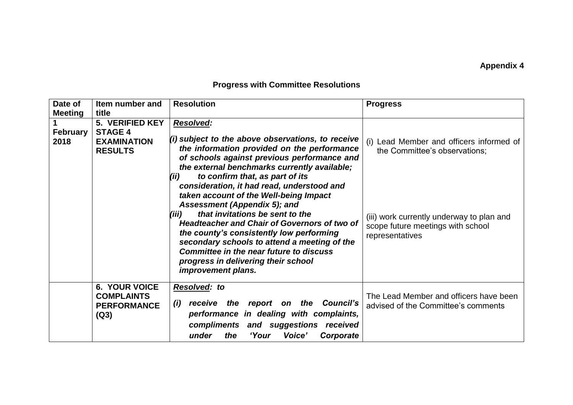## **Appendix 4**

## **Progress with Committee Resolutions**

| Date of<br><b>Meeting</b> | Item number and<br>title                                                  | <b>Resolution</b>                                                                                                                                                                                                                                                                                                                                                                                                                  | <b>Progress</b>                                                                                   |
|---------------------------|---------------------------------------------------------------------------|------------------------------------------------------------------------------------------------------------------------------------------------------------------------------------------------------------------------------------------------------------------------------------------------------------------------------------------------------------------------------------------------------------------------------------|---------------------------------------------------------------------------------------------------|
| <b>February</b><br>2018   | 5. VERIFIED KEY<br><b>STAGE 4</b><br><b>EXAMINATION</b><br><b>RESULTS</b> | <b>Resolved:</b><br>$(i)$ subject to the above observations, to receive<br>the information provided on the performance<br>of schools against previous performance and<br>the external benchmarks currently available;<br>to confirm that, as part of its<br>(ii)                                                                                                                                                                   | Lead Member and officers informed of<br>(i)<br>the Committee's observations;                      |
|                           |                                                                           | consideration, it had read, understood and<br>taken account of the Well-being Impact<br>Assessment (Appendix 5); and<br>that invitations be sent to the<br>(iii)<br><b>Headteacher and Chair of Governors of two of</b><br>the county's consistently low performing<br>secondary schools to attend a meeting of the<br><b>Committee in the near future to discuss</b><br>progress in delivering their school<br>improvement plans. | (iii) work currently underway to plan and<br>scope future meetings with school<br>representatives |
|                           | <b>6. YOUR VOICE</b><br><b>COMPLAINTS</b><br><b>PERFORMANCE</b><br>(Q3)   | Resolved: to<br>report on the Council's<br>(i)<br>the<br>receive<br>performance in dealing with complaints,<br>compliments and suggestions received<br>Voice'<br>Corporate<br>under<br>the<br>'Your                                                                                                                                                                                                                                | The Lead Member and officers have been<br>advised of the Committee's comments                     |